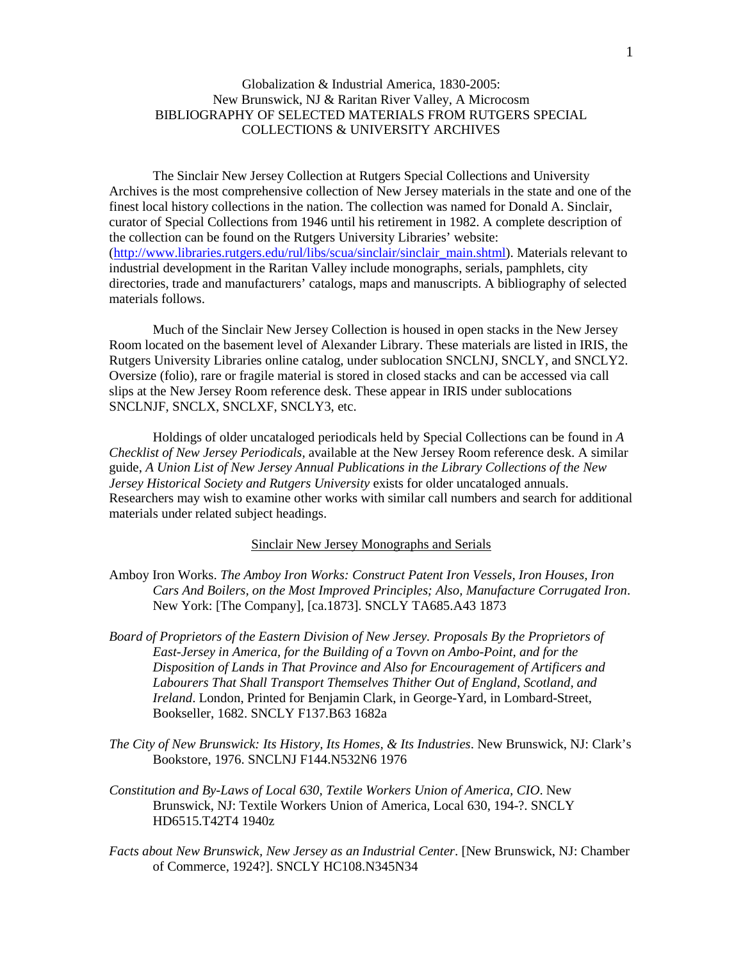# Globalization & Industrial America, 1830-2005: New Brunswick, NJ & Raritan River Valley, A Microcosm BIBLIOGRAPHY OF SELECTED MATERIALS FROM RUTGERS SPECIAL COLLECTIONS & UNIVERSITY ARCHIVES

The Sinclair New Jersey Collection at Rutgers Special Collections and University Archives is the most comprehensive collection of New Jersey materials in the state and one of the finest local history collections in the nation. The collection was named for Donald A. Sinclair, curator of Special Collections from 1946 until his retirement in 1982. A complete description of the collection can be found on the Rutgers University Libraries' website: [\(http://www.libraries.rutgers.edu/rul/libs/scua/sinclair/sinclair\\_main.shtml\)](http://www.libraries.rutgers.edu/rul/libs/scua/sinclair/sinclair_main.shtml). Materials relevant to industrial development in the Raritan Valley include monographs, serials, pamphlets, city directories, trade and manufacturers' catalogs, maps and manuscripts. A bibliography of selected materials follows.

Much of the Sinclair New Jersey Collection is housed in open stacks in the New Jersey Room located on the basement level of Alexander Library. These materials are listed in IRIS, the Rutgers University Libraries online catalog, under sublocation SNCLNJ, SNCLY, and SNCLY2. Oversize (folio), rare or fragile material is stored in closed stacks and can be accessed via call slips at the New Jersey Room reference desk. These appear in IRIS under sublocations SNCLNJF, SNCLX, SNCLXF, SNCLY3, etc.

Holdings of older uncataloged periodicals held by Special Collections can be found in *A Checklist of New Jersey Periodicals,* available at the New Jersey Room reference desk. A similar guide, *A Union List of New Jersey Annual Publications in the Library Collections of the New Jersey Historical Society and Rutgers University* exists for older uncataloged annuals. Researchers may wish to examine other works with similar call numbers and search for additional materials under related subject headings.

#### Sinclair New Jersey Monographs and Serials

- Amboy Iron Works. *The Amboy Iron Works: Construct Patent Iron Vessels, Iron Houses, Iron Cars And Boilers, on the Most Improved Principles; Also, Manufacture Corrugated Iron*. New York: [The Company], [ca.1873]. SNCLY TA685.A43 1873
- *Board of Proprietors of the Eastern Division of New Jersey. Proposals By the Proprietors of East-Jersey in America, for the Building of a Tovvn on Ambo-Point, and for the Disposition of Lands in That Province and Also for Encouragement of Artificers and Labourers That Shall Transport Themselves Thither Out of England, Scotland, and Ireland*. London, Printed for Benjamin Clark, in George-Yard, in Lombard-Street, Bookseller, 1682. SNCLY F137.B63 1682a
- *The City of New Brunswick: Its History, Its Homes, & Its Industries*. New Brunswick, NJ: Clark's Bookstore, 1976. SNCLNJ F144.N532N6 1976
- *Constitution and By-Laws of Local 630, Textile Workers Union of America, CIO*. New Brunswick, NJ: Textile Workers Union of America, Local 630, 194-?. SNCLY HD6515.T42T4 1940z
- *Facts about New Brunswick, New Jersey as an Industrial Center*. [New Brunswick, NJ: Chamber of Commerce, 1924?]. SNCLY HC108.N345N34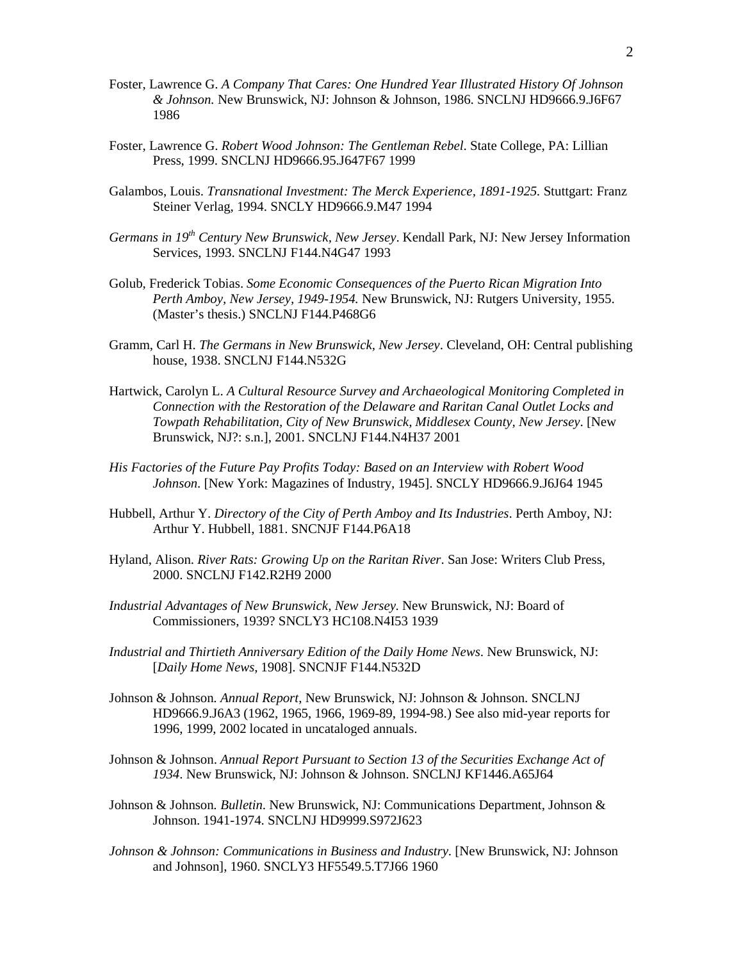- Foster, Lawrence G. *A Company That Cares: One Hundred Year Illustrated History Of Johnson & Johnson.* New Brunswick, NJ: Johnson & Johnson, 1986. SNCLNJ HD9666.9.J6F67 1986
- Foster, Lawrence G. *Robert Wood Johnson: The Gentleman Rebel*. State College, PA: Lillian Press, 1999. SNCLNJ HD9666.95.J647F67 1999
- Galambos, Louis. *Transnational Investment: The Merck Experience, 1891-1925.* Stuttgart: Franz Steiner Verlag, 1994. SNCLY HD9666.9.M47 1994
- *Germans in 19th Century New Brunswick, New Jersey*. Kendall Park, NJ: New Jersey Information Services, 1993. SNCLNJ F144.N4G47 1993
- Golub, Frederick Tobias. *Some Economic Consequences of the Puerto Rican Migration Into Perth Amboy, New Jersey, 1949-1954.* New Brunswick, NJ: Rutgers University, 1955. (Master's thesis.) SNCLNJ F144.P468G6
- Gramm, Carl H. *The Germans in New Brunswick, New Jersey*. Cleveland, OH: Central publishing house, 1938. SNCLNJ F144.N532G
- Hartwick, Carolyn L. *A Cultural Resource Survey and Archaeological Monitoring Completed in Connection with the Restoration of the Delaware and Raritan Canal Outlet Locks and Towpath Rehabilitation, City of New Brunswick, Middlesex County, New Jersey*. [New Brunswick, NJ?: s.n.], 2001. SNCLNJ F144.N4H37 2001
- *His Factories of the Future Pay Profits Today: Based on an Interview with Robert Wood Johnson*. [New York: Magazines of Industry, 1945]. SNCLY HD9666.9.J6J64 1945
- Hubbell, Arthur Y. *Directory of the City of Perth Amboy and Its Industries*. Perth Amboy, NJ: Arthur Y. Hubbell, 1881. SNCNJF F144.P6A18
- Hyland, Alison. *River Rats: Growing Up on the Raritan River*. San Jose: Writers Club Press, 2000. SNCLNJ F142.R2H9 2000
- *Industrial Advantages of New Brunswick, New Jersey.* New Brunswick, NJ: Board of Commissioners, 1939? SNCLY3 HC108.N4I53 1939
- *Industrial and Thirtieth Anniversary Edition of the Daily Home News*. New Brunswick, NJ: [*Daily Home News*, 1908]. SNCNJF F144.N532D
- Johnson & Johnson*. Annual Report*, New Brunswick, NJ: Johnson & Johnson. SNCLNJ HD9666.9.J6A3 (1962, 1965, 1966, 1969-89, 1994-98.) See also mid-year reports for 1996, 1999, 2002 located in uncataloged annuals.
- Johnson & Johnson. *Annual Report Pursuant to Section 13 of the Securities Exchange Act of 1934*. New Brunswick, NJ: Johnson & Johnson. SNCLNJ KF1446.A65J64
- Johnson & Johnson*. Bulletin*. New Brunswick, NJ: Communications Department, Johnson & Johnson. 1941-1974. SNCLNJ HD9999.S972J623
- *Johnson & Johnson: Communications in Business and Industry*. [New Brunswick, NJ: Johnson and Johnson], 1960. SNCLY3 HF5549.5.T7J66 1960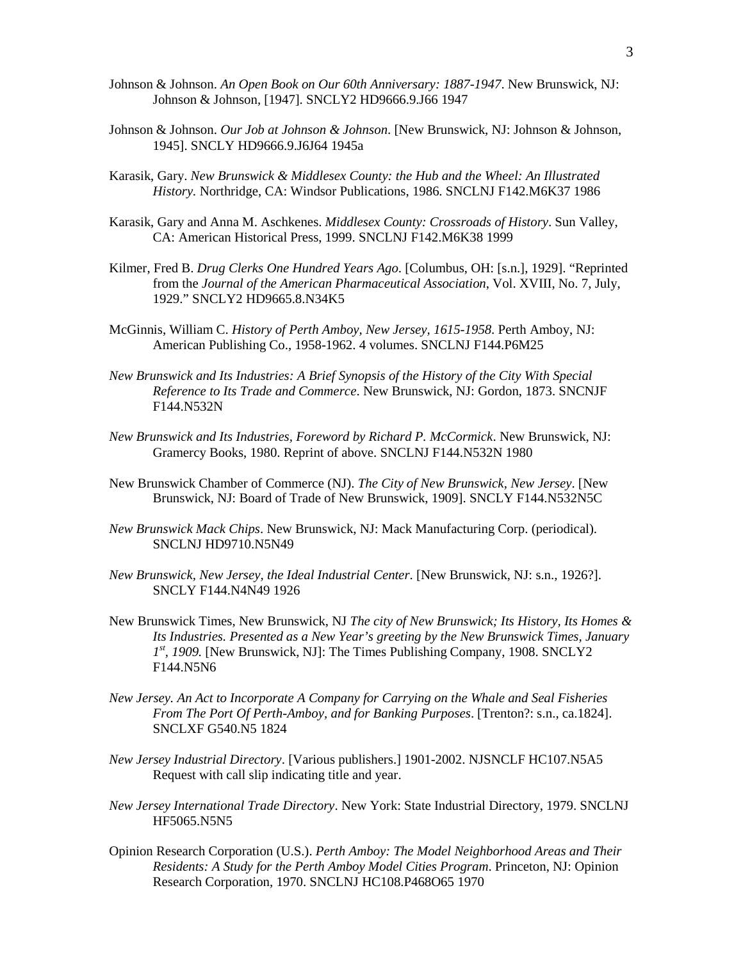- Johnson & Johnson. *An Open Book on Our 60th Anniversary: 1887-1947*. New Brunswick, NJ: Johnson & Johnson, [1947]. SNCLY2 HD9666.9.J66 1947
- Johnson & Johnson. *Our Job at Johnson & Johnson*. [New Brunswick, NJ: Johnson & Johnson, 1945]. SNCLY HD9666.9.J6J64 1945a
- Karasik, Gary. *New Brunswick & Middlesex County: the Hub and the Wheel: An Illustrated History.* Northridge, CA: Windsor Publications, 1986. SNCLNJ F142.M6K37 1986
- Karasik, Gary and Anna M. Aschkenes. *Middlesex County: Crossroads of History*. Sun Valley, CA: American Historical Press, 1999. SNCLNJ F142.M6K38 1999
- Kilmer, Fred B. *Drug Clerks One Hundred Years Ago*. [Columbus, OH: [s.n.], 1929]. "Reprinted from the *Journal of the American Pharmaceutical Association*, Vol. XVIII, No. 7, July, 1929." SNCLY2 HD9665.8.N34K5
- McGinnis, William C. *History of Perth Amboy, New Jersey, 1615-1958*. Perth Amboy, NJ: American Publishing Co., 1958-1962. 4 volumes. SNCLNJ F144.P6M25
- *New Brunswick and Its Industries: A Brief Synopsis of the History of the City With Special Reference to Its Trade and Commerce*. New Brunswick, NJ: Gordon, 1873. SNCNJF F144.N532N
- *New Brunswick and Its Industries, Foreword by Richard P. McCormick*. New Brunswick, NJ: Gramercy Books, 1980. Reprint of above. SNCLNJ F144.N532N 1980
- New Brunswick Chamber of Commerce (NJ). *The City of New Brunswick, New Jersey*. [New Brunswick, NJ: Board of Trade of New Brunswick, 1909]. SNCLY F144.N532N5C
- *New Brunswick Mack Chips*. New Brunswick, NJ: Mack Manufacturing Corp. (periodical). SNCLNJ HD9710.N5N49
- *New Brunswick, New Jersey, the Ideal Industrial Center*. [New Brunswick, NJ: s.n., 1926?]. SNCLY F144.N4N49 1926
- New Brunswick Times, New Brunswick, NJ *The city of New Brunswick; Its History, Its Homes & Its Industries. Presented as a New Year's greeting by the New Brunswick Times, January 1st , 1909.* [New Brunswick, NJ]: The Times Publishing Company, 1908. SNCLY2 F144.N5N6
- *New Jersey. An Act to Incorporate A Company for Carrying on the Whale and Seal Fisheries From The Port Of Perth-Amboy, and for Banking Purposes*. [Trenton?: s.n., ca.1824]. SNCLXF G540.N5 1824
- *New Jersey Industrial Directory*. [Various publishers.] 1901-2002. NJSNCLF HC107.N5A5 Request with call slip indicating title and year.
- *New Jersey International Trade Directory*. New York: State Industrial Directory, 1979. SNCLNJ HF5065.N5N5
- Opinion Research Corporation (U.S.). *Perth Amboy: The Model Neighborhood Areas and Their Residents: A Study for the Perth Amboy Model Cities Program*. Princeton, NJ: Opinion Research Corporation, 1970. SNCLNJ HC108.P468O65 1970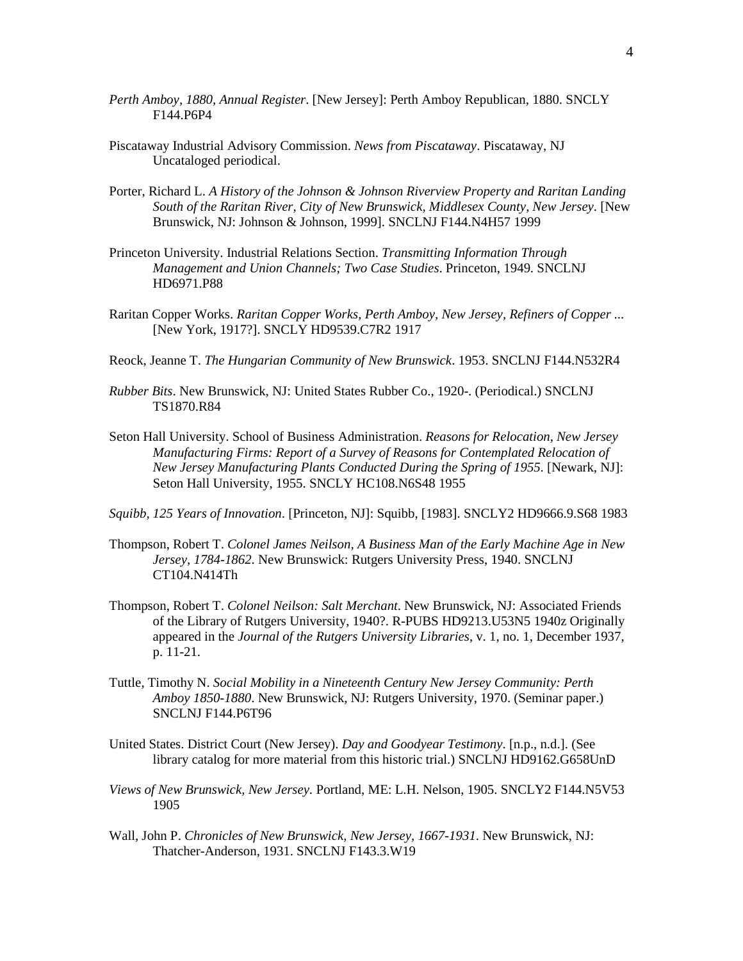- *Perth Amboy, 1880, Annual Register*. [New Jersey]: Perth Amboy Republican, 1880. SNCLY F144.P6P4
- Piscataway Industrial Advisory Commission. *News from Piscataway*. Piscataway, NJ Uncataloged periodical.
- Porter, Richard L. *A History of the Johnson & Johnson Riverview Property and Raritan Landing South of the Raritan River, City of New Brunswick, Middlesex County, New Jersey*. [New Brunswick, NJ: Johnson & Johnson, 1999]. SNCLNJ F144.N4H57 1999
- Princeton University. Industrial Relations Section. *Transmitting Information Through Management and Union Channels; Two Case Studies*. Princeton, 1949. SNCLNJ HD6971.P88
- Raritan Copper Works. *Raritan Copper Works, Perth Amboy, New Jersey, Refiners of Copper ...* [New York, 1917?]. SNCLY HD9539.C7R2 1917
- Reock, Jeanne T. *The Hungarian Community of New Brunswick*. 1953. SNCLNJ F144.N532R4
- *Rubber Bits*. New Brunswick, NJ: United States Rubber Co., 1920-. (Periodical.) SNCLNJ TS1870.R84
- Seton Hall University. School of Business Administration. *Reasons for Relocation, New Jersey Manufacturing Firms: Report of a Survey of Reasons for Contemplated Relocation of New Jersey Manufacturing Plants Conducted During the Spring of 1955*. [Newark, NJ]: Seton Hall University, 1955. SNCLY HC108.N6S48 1955
- *Squibb, 125 Years of Innovation*. [Princeton, NJ]: Squibb, [1983]. SNCLY2 HD9666.9.S68 1983
- Thompson, Robert T. *Colonel James Neilson, A Business Man of the Early Machine Age in New Jersey, 1784-1862*. New Brunswick: Rutgers University Press, 1940. SNCLNJ CT104.N414Th
- Thompson, Robert T. *Colonel Neilson: Salt Merchant*. New Brunswick, NJ: Associated Friends of the Library of Rutgers University, 1940?. R-PUBS HD9213.U53N5 1940z Originally appeared in the *Journal of the Rutgers University Libraries*, v. 1, no. 1, December 1937, p. 11-21.
- Tuttle, Timothy N. *Social Mobility in a Nineteenth Century New Jersey Community: Perth Amboy 1850-1880*. New Brunswick, NJ: Rutgers University, 1970. (Seminar paper.) SNCLNJ F144.P6T96
- United States. District Court (New Jersey). *Day and Goodyear Testimony*. [n.p., n.d.]. (See library catalog for more material from this historic trial.) SNCLNJ HD9162.G658UnD
- *Views of New Brunswick, New Jersey.* Portland, ME: L.H. Nelson, 1905. SNCLY2 F144.N5V53 1905
- Wall, John P. *Chronicles of New Brunswick, New Jersey, 1667-1931*. New Brunswick, NJ: Thatcher-Anderson, 1931. SNCLNJ F143.3.W19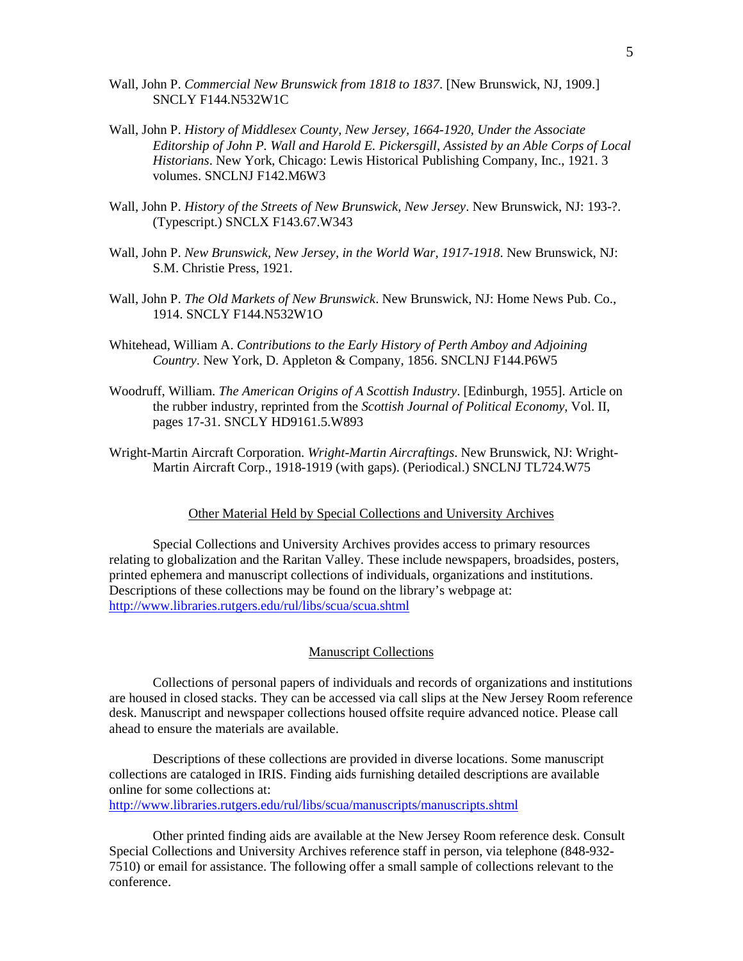- Wall, John P. *Commercial New Brunswick from 1818 to 1837*. [New Brunswick, NJ, 1909.] SNCLY F144.N532W1C
- Wall, John P. *History of Middlesex County, New Jersey, 1664-1920, Under the Associate Editorship of John P. Wall and Harold E. Pickersgill, Assisted by an Able Corps of Local Historians*. New York, Chicago: Lewis Historical Publishing Company, Inc., 1921. 3 volumes. SNCLNJ F142.M6W3
- Wall, John P. *History of the Streets of New Brunswick, New Jersey*. New Brunswick, NJ: 193-?. (Typescript.) SNCLX F143.67.W343
- Wall, John P. *New Brunswick, New Jersey, in the World War, 1917-1918*. New Brunswick, NJ: S.M. Christie Press, 1921.
- Wall, John P. *The Old Markets of New Brunswick*. New Brunswick, NJ: Home News Pub. Co., 1914. SNCLY F144.N532W1O
- Whitehead, William A. *Contributions to the Early History of Perth Amboy and Adjoining Country*. New York, D. Appleton & Company, 1856. SNCLNJ F144.P6W5
- Woodruff, William. *The American Origins of A Scottish Industry*. [Edinburgh, 1955]. Article on the rubber industry, reprinted from the *Scottish Journal of Political Economy*, Vol. II, pages 17-31. SNCLY HD9161.5.W893
- Wright-Martin Aircraft Corporation. *Wright-Martin Aircraftings*. New Brunswick, NJ: Wright-Martin Aircraft Corp., 1918-1919 (with gaps). (Periodical.) SNCLNJ TL724.W75

## Other Material Held by Special Collections and University Archives

Special Collections and University Archives provides access to primary resources relating to globalization and the Raritan Valley. These include newspapers, broadsides, posters, printed ephemera and manuscript collections of individuals, organizations and institutions. Descriptions of these collections may be found on the library's webpage at: <http://www.libraries.rutgers.edu/rul/libs/scua/scua.shtml>

### Manuscript Collections

Collections of personal papers of individuals and records of organizations and institutions are housed in closed stacks. They can be accessed via call slips at the New Jersey Room reference desk. Manuscript and newspaper collections housed offsite require advanced notice. Please call ahead to ensure the materials are available.

Descriptions of these collections are provided in diverse locations. Some manuscript collections are cataloged in IRIS. Finding aids furnishing detailed descriptions are available online for some collections at:

<http://www.libraries.rutgers.edu/rul/libs/scua/manuscripts/manuscripts.shtml>

Other printed finding aids are available at the New Jersey Room reference desk. Consult Special Collections and University Archives reference staff in person, via telephone (848-932- 7510) or email for assistance. The following offer a small sample of collections relevant to the conference.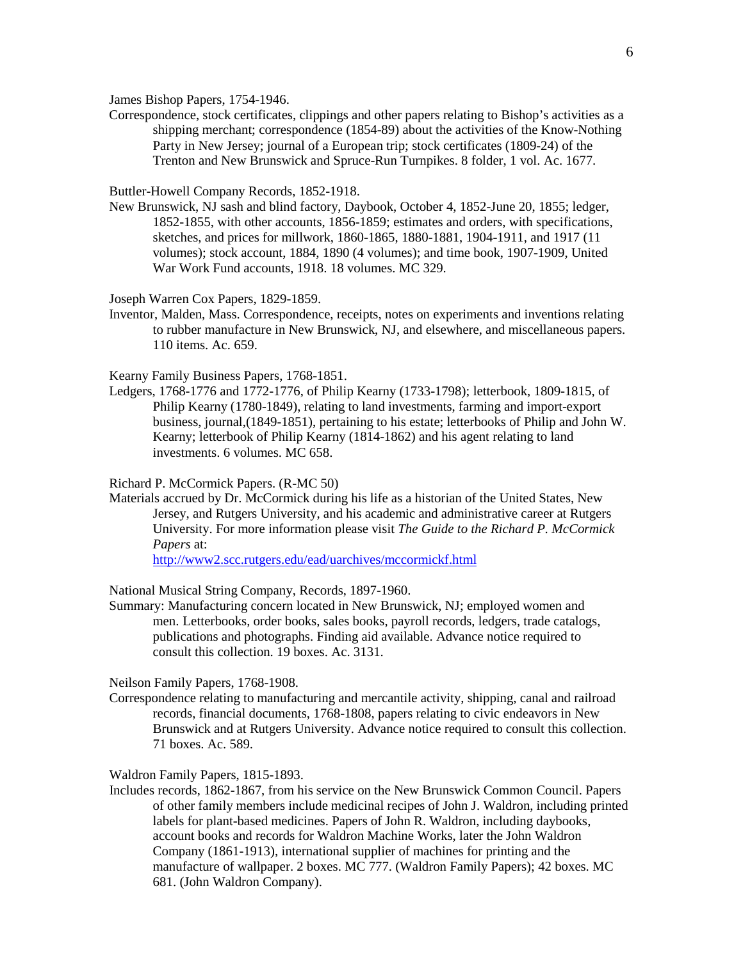James Bishop Papers, 1754-1946.

Correspondence, stock certificates, clippings and other papers relating to Bishop's activities as a shipping merchant; correspondence (1854-89) about the activities of the Know-Nothing Party in New Jersey; journal of a European trip; stock certificates (1809-24) of the Trenton and New Brunswick and Spruce-Run Turnpikes. 8 folder, 1 vol. Ac. 1677.

Buttler-Howell Company Records, 1852-1918.

New Brunswick, NJ sash and blind factory, Daybook, October 4, 1852-June 20, 1855; ledger, 1852-1855, with other accounts, 1856-1859; estimates and orders, with specifications, sketches, and prices for millwork, 1860-1865, 1880-1881, 1904-1911, and 1917 (11 volumes); stock account, 1884, 1890 (4 volumes); and time book, 1907-1909, United War Work Fund accounts, 1918. 18 volumes. MC 329.

Joseph Warren Cox Papers, 1829-1859.

Inventor, Malden, Mass. Correspondence, receipts, notes on experiments and inventions relating to rubber manufacture in New Brunswick, NJ, and elsewhere, and miscellaneous papers. 110 items. Ac. 659.

Kearny Family Business Papers, 1768-1851.

Ledgers, 1768-1776 and 1772-1776, of Philip Kearny (1733-1798); letterbook, 1809-1815, of Philip Kearny (1780-1849), relating to land investments, farming and import-export business, journal,(1849-1851), pertaining to his estate; letterbooks of Philip and John W. Kearny; letterbook of Philip Kearny (1814-1862) and his agent relating to land investments. 6 volumes. MC 658.

### Richard P. McCormick Papers. (R-MC 50)

Materials accrued by Dr. McCormick during his life as a historian of the United States, New Jersey, and Rutgers University, and his academic and administrative career at Rutgers University. For more information please visit *The Guide to the Richard P. McCormick Papers* at:

<http://www2.scc.rutgers.edu/ead/uarchives/mccormickf.html>

National Musical String Company, Records, 1897-1960.

Summary: Manufacturing concern located in New Brunswick, NJ; employed women and men. Letterbooks, order books, sales books, payroll records, ledgers, trade catalogs, publications and photographs. Finding aid available. Advance notice required to consult this collection. 19 boxes. Ac. 3131.

Neilson Family Papers, 1768-1908.

Correspondence relating to manufacturing and mercantile activity, shipping, canal and railroad records, financial documents, 1768-1808, papers relating to civic endeavors in New Brunswick and at Rutgers University. Advance notice required to consult this collection. 71 boxes. Ac. 589.

Waldron Family Papers, 1815-1893.

Includes records, 1862-1867, from his service on the New Brunswick Common Council. Papers of other family members include medicinal recipes of John J. Waldron, including printed labels for plant-based medicines. Papers of John R. Waldron, including daybooks, account books and records for Waldron Machine Works, later the John Waldron Company (1861-1913), international supplier of machines for printing and the manufacture of wallpaper. 2 boxes. MC 777. (Waldron Family Papers); 42 boxes. MC 681. (John Waldron Company).